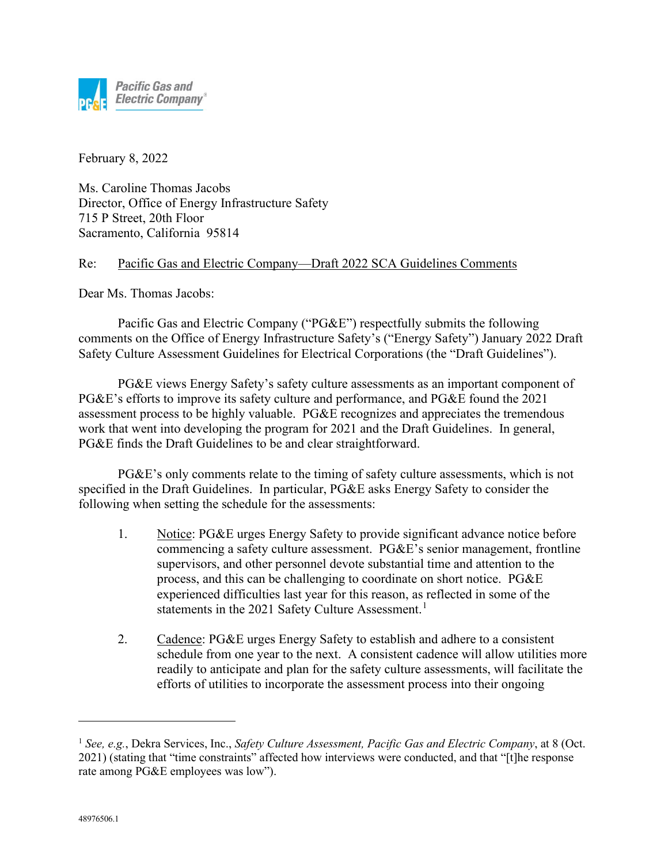

February 8, 2022

Ms. Caroline Thomas Jacobs Director, Office of Energy Infrastructure Safety 715 P Street, 20th Floor Sacramento, California 95814

## Re: Pacific Gas and Electric Company—Draft 2022 SCA Guidelines Comments

Dear Ms. Thomas Jacobs:

Pacific Gas and Electric Company ("PG&E") respectfully submits the following comments on the Office of Energy Infrastructure Safety's ("Energy Safety") January 2022 Draft Safety Culture Assessment Guidelines for Electrical Corporations (the "Draft Guidelines").

PG&E views Energy Safety's safety culture assessments as an important component of PG&E's efforts to improve its safety culture and performance, and PG&E found the 2021 assessment process to be highly valuable. PG&E recognizes and appreciates the tremendous work that went into developing the program for 2021 and the Draft Guidelines. In general, PG&E finds the Draft Guidelines to be and clear straightforward.

PG&E's only comments relate to the timing of safety culture assessments, which is not specified in the Draft Guidelines. In particular, PG&E asks Energy Safety to consider the following when setting the schedule for the assessments:

- 1. Notice: PG&E urges Energy Safety to provide significant advance notice before commencing a safety culture assessment. PG&E's senior management, frontline supervisors, and other personnel devote substantial time and attention to the process, and this can be challenging to coordinate on short notice. PG&E experienced difficulties last year for this reason, as reflected in some of the statements in the 202[1](#page-0-0) Safety Culture Assessment.<sup>1</sup>
- 2. Cadence: PG&E urges Energy Safety to establish and adhere to a consistent schedule from one year to the next. A consistent cadence will allow utilities more readily to anticipate and plan for the safety culture assessments, will facilitate the efforts of utilities to incorporate the assessment process into their ongoing

<span id="page-0-0"></span><sup>1</sup> *See, e.g.*, Dekra Services, Inc., *Safety Culture Assessment, Pacific Gas and Electric Company*, at 8 (Oct. 2021) (stating that "time constraints" affected how interviews were conducted, and that "[t]he response rate among PG&E employees was low").